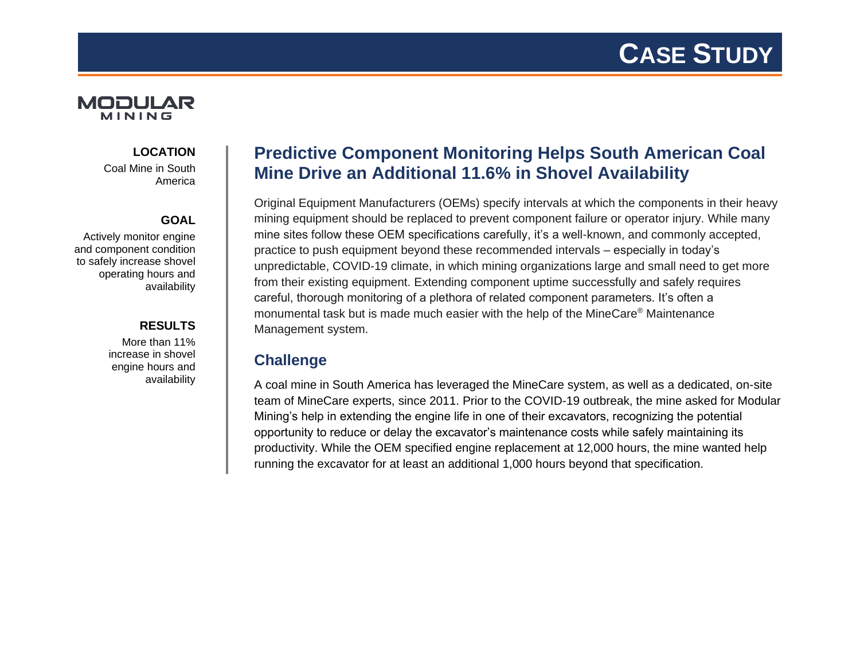

### **LOCATION**

Coal Mine in South America

#### **GOAL**

Actively monitor engine and component condition to safely increase shovel operating hours and availability

#### **RESULTS**

More than 11% increase in shovel engine hours and availability

# **Predictive Component Monitoring Helps South American Coal Mine Drive an Additional 11.6% in Shovel Availability**

Original Equipment Manufacturers (OEMs) specify intervals at which the components in their heavy mining equipment should be replaced to prevent component failure or operator injury. While many mine sites follow these OEM specifications carefully, it's a well-known, and commonly accepted, practice to push equipment beyond these recommended intervals – especially in today's unpredictable, COVID-19 climate, in which mining organizations large and small need to get more from their existing equipment. Extending component uptime successfully and safely requires careful, thorough monitoring of a plethora of related component parameters. It's often a monumental task but is made much easier with the help of the MineCare® Maintenance Management system.

# **Challenge**

A coal mine in South America has leveraged the MineCare system, as well as a dedicated, on-site team of MineCare experts, since 2011. Prior to the COVID-19 outbreak, the mine asked for Modular Mining's help in extending the engine life in one of their excavators, recognizing the potential opportunity to reduce or delay the excavator's maintenance costs while safely maintaining its productivity. While the OEM specified engine replacement at 12,000 hours, the mine wanted help running the excavator for at least an additional 1,000 hours beyond that specification.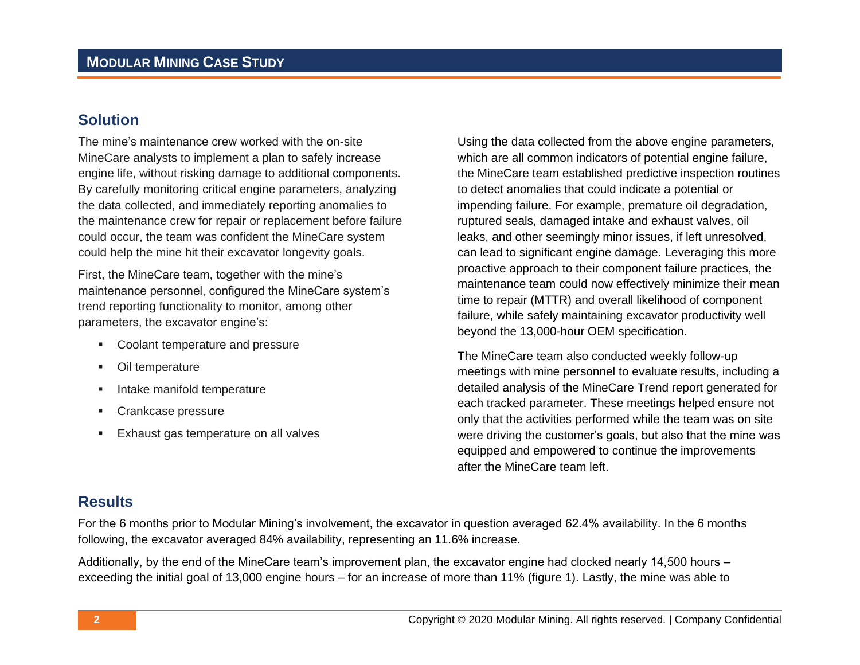### **Solution**

The mine's maintenance crew worked with the on-site MineCare analysts to implement a plan to safely increase engine life, without risking damage to additional components. By carefully monitoring critical engine parameters, analyzing the data collected, and immediately reporting anomalies to the maintenance crew for repair or replacement before failure could occur, the team was confident the MineCare system could help the mine hit their excavator longevity goals.

First, the MineCare team, together with the mine's maintenance personnel, configured the MineCare system's trend reporting functionality to monitor, among other parameters, the excavator engine's:

- Coolant temperature and pressure
- Oil temperature
- Intake manifold temperature
- Crankcase pressure
- Exhaust gas temperature on all valves

Using the data collected from the above engine parameters, which are all common indicators of potential engine failure, the MineCare team established predictive inspection routines to detect anomalies that could indicate a potential or impending failure. For example, premature oil degradation, ruptured seals, damaged intake and exhaust valves, oil leaks, and other seemingly minor issues, if left unresolved, can lead to significant engine damage. Leveraging this more proactive approach to their component failure practices, the maintenance team could now effectively minimize their mean time to repair (MTTR) and overall likelihood of component failure, while safely maintaining excavator productivity well beyond the 13,000-hour OEM specification.

The MineCare team also conducted weekly follow-up meetings with mine personnel to evaluate results, including a detailed analysis of the MineCare Trend report generated for each tracked parameter. These meetings helped ensure not only that the activities performed while the team was on site were driving the customer's goals, but also that the mine was equipped and empowered to continue the improvements after the MineCare team left.

#### **Results**

For the 6 months prior to Modular Mining's involvement, the excavator in question averaged 62.4% availability. In the 6 months following, the excavator averaged 84% availability, representing an 11.6% increase.

Additionally, by the end of the MineCare team's improvement plan, the excavator engine had clocked nearly 14,500 hours – exceeding the initial goal of 13,000 engine hours – for an increase of more than 11% (figure 1). Lastly, the mine was able to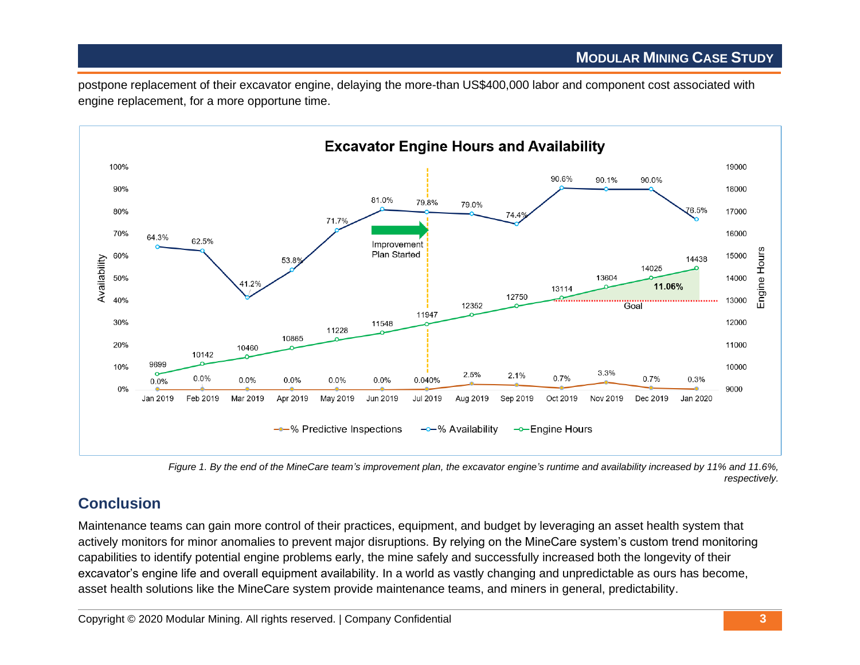postpone replacement of their excavator engine, delaying the more-than US\$400,000 labor and component cost associated with engine replacement, for a more opportune time.



*Figure 1. By the end of the MineCare team's improvement plan, the excavator engine's runtime and availability increased by 11% and 11.6%, respectively.*

# **Conclusion**

Maintenance teams can gain more control of their practices, equipment, and budget by leveraging an asset health system that actively monitors for minor anomalies to prevent major disruptions. By relying on the MineCare system's custom trend monitoring capabilities to identify potential engine problems early, the mine safely and successfully increased both the longevity of their excavator's engine life and overall equipment availability. In a world as vastly changing and unpredictable as ours has become, asset health solutions like the MineCare system provide maintenance teams, and miners in general, predictability.